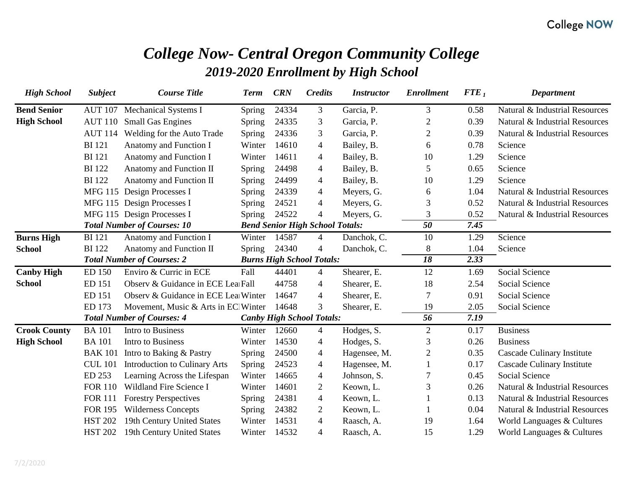# *College Now- Central Oregon Community College 2019-2020 Enrollment by High School*

| <b>High School</b>  | <b>Subject</b> | <b>Course Title</b>                  | <b>Term</b>   | <b>CRN</b> | <b>Credits</b>                         | <b>Instructor</b> | <b>Enrollment</b> | ${FTE}_1$ | <b>Department</b>              |
|---------------------|----------------|--------------------------------------|---------------|------------|----------------------------------------|-------------------|-------------------|-----------|--------------------------------|
| <b>Bend Senior</b>  | <b>AUT 107</b> | <b>Mechanical Systems I</b>          | Spring        | 24334      | 3                                      | Garcia, P.        | 3                 | 0.58      | Natural & Industrial Resources |
| <b>High School</b>  | <b>AUT 110</b> | <b>Small Gas Engines</b>             | Spring        | 24335      | 3                                      | Garcia, P.        | $\overline{2}$    | 0.39      | Natural & Industrial Resources |
|                     | <b>AUT 114</b> | Welding for the Auto Trade           | <b>Spring</b> | 24336      | 3                                      | Garcia, P.        | $\overline{c}$    | 0.39      | Natural & Industrial Resources |
|                     | <b>BI</b> 121  | Anatomy and Function I               | Winter        | 14610      | $\overline{4}$                         | Bailey, B.        | 6                 | 0.78      | Science                        |
|                     | <b>BI</b> 121  | Anatomy and Function I               | Winter        | 14611      | $\overline{4}$                         | Bailey, B.        | 10                | 1.29      | Science                        |
|                     | <b>BI</b> 122  | Anatomy and Function II              | <b>Spring</b> | 24498      | $\overline{4}$                         | Bailey, B.        | 5                 | 0.65      | Science                        |
|                     | <b>BI</b> 122  | Anatomy and Function II              | Spring        | 24499      | $\overline{4}$                         | Bailey, B.        | 10                | 1.29      | Science                        |
|                     |                | MFG 115 Design Processes I           | Spring        | 24339      | $\overline{4}$                         | Meyers, G.        | 6                 | 1.04      | Natural & Industrial Resources |
|                     |                | MFG 115 Design Processes I           | <b>Spring</b> | 24521      | $\overline{4}$                         | Meyers, G.        | 3                 | 0.52      | Natural & Industrial Resources |
|                     |                | MFG 115 Design Processes I           | Spring        | 24522      | $\overline{4}$                         | Meyers, G.        | 3                 | 0.52      | Natural & Industrial Resources |
|                     |                | <b>Total Number of Courses: 10</b>   |               |            | <b>Bend Senior High School Totals:</b> |                   | $\overline{50}$   | 7.45      |                                |
| <b>Burns High</b>   | <b>BI</b> 121  | Anatomy and Function I               | Winter        | 14587      | $\overline{4}$                         | Danchok, C.       | 10                | 1.29      | Science                        |
| School              | <b>BI</b> 122  | Anatomy and Function II              | Spring        | 24340      | $\overline{4}$                         | Danchok, C.       | 8                 | 1.04      | Science                        |
|                     |                | <b>Total Number of Courses: 2</b>    |               |            | <b>Burns High School Totals:</b>       |                   | $\overline{18}$   | 2.33      |                                |
| <b>Canby High</b>   | <b>ED 150</b>  | Enviro & Curric in ECE               | Fall          | 44401      | $\overline{4}$                         | Shearer, E.       | 12                | 1.69      | Social Science                 |
| <b>School</b>       | ED 151         | Observ & Guidance in ECE Lea Fall    |               | 44758      | $\overline{4}$                         | Shearer, E.       | 18                | 2.54      | Social Science                 |
|                     | <b>ED 151</b>  | Observ & Guidance in ECE Lea Winter  |               | 14647      | $\overline{4}$                         | Shearer, E.       | 7                 | 0.91      | Social Science                 |
|                     | ED 173         | Movement, Music & Arts in EC Winter  |               | 14648      | 3                                      | Shearer, E.       | 19                | 2.05      | Social Science                 |
|                     |                | <b>Total Number of Courses: 4</b>    |               |            | <b>Canby High School Totals:</b>       |                   | 56                | 7.19      |                                |
| <b>Crook County</b> | <b>BA</b> 101  | Intro to Business                    | Winter        | 12660      | $\overline{4}$                         | Hodges, S.        | $\overline{2}$    | 0.17      | <b>Business</b>                |
| <b>High School</b>  | <b>BA</b> 101  | Intro to Business                    | Winter        | 14530      | 4                                      | Hodges, S.        | 3                 | 0.26      | <b>Business</b>                |
|                     | <b>BAK 101</b> | Intro to Baking & Pastry             | <b>Spring</b> | 24500      | $\overline{4}$                         | Hagensee, M.      | $\overline{c}$    | 0.35      | Cascade Culinary Institute     |
|                     | <b>CUL 101</b> | <b>Introduction to Culinary Arts</b> | Spring        | 24523      | $\overline{4}$                         | Hagensee, M.      |                   | 0.17      | Cascade Culinary Institute     |
|                     | ED 253         | Learning Across the Lifespan         | Winter        | 14665      | 4                                      | Johnson, S.       |                   | 0.45      | Social Science                 |
|                     | <b>FOR 110</b> | Wildland Fire Science I              | Winter        | 14601      | $\overline{2}$                         | Keown, L.         | 3                 | 0.26      | Natural & Industrial Resources |
|                     | <b>FOR 111</b> | <b>Forestry Perspectives</b>         | Spring        | 24381      | $\overline{4}$                         | Keown, L.         |                   | 0.13      | Natural & Industrial Resources |
|                     | <b>FOR 195</b> | <b>Wilderness Concepts</b>           | Spring        | 24382      | $\overline{2}$                         | Keown, L.         |                   | 0.04      | Natural & Industrial Resources |
|                     | <b>HST 202</b> | 19th Century United States           | Winter        | 14531      | $\overline{4}$                         | Raasch, A.        | 19                | 1.64      | World Languages & Cultures     |
|                     | <b>HST 202</b> | 19th Century United States           | Winter        | 14532      | $\overline{4}$                         | Raasch, A.        | 15                | 1.29      | World Languages & Cultures     |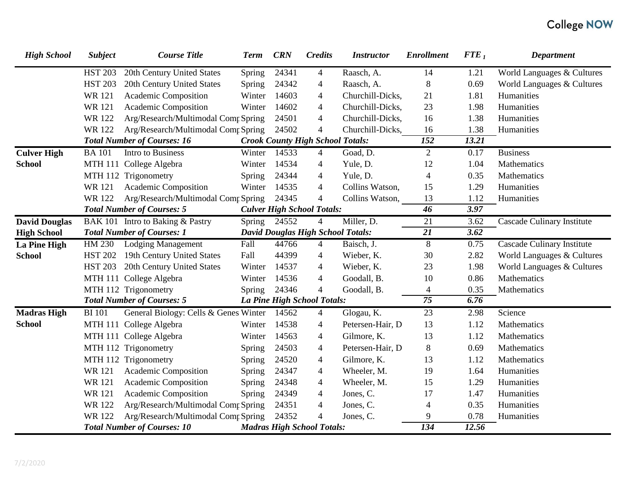| <b>High School</b>   | <b>Subject</b> | <b>Course Title</b>                   | <b>Term</b> | <b>CRN</b> | <b>Credits</b>                           | <b>Instructor</b> | <b>Enrollment</b> | ${FTE}_1$ | <b>Department</b>                 |
|----------------------|----------------|---------------------------------------|-------------|------------|------------------------------------------|-------------------|-------------------|-----------|-----------------------------------|
|                      | <b>HST 203</b> | 20th Century United States            | Spring      | 24341      | $\overline{4}$                           | Raasch, A.        | 14                | 1.21      | World Languages & Cultures        |
|                      | <b>HST 203</b> | 20th Century United States            | Spring      | 24342      | 4                                        | Raasch, A.        | $8\,$             | 0.69      | World Languages & Cultures        |
|                      | <b>WR121</b>   | Academic Composition                  | Winter      | 14603      | $\overline{\mathcal{A}}$                 | Churchill-Dicks,  | 21                | 1.81      | Humanities                        |
|                      | <b>WR121</b>   | Academic Composition                  | Winter      | 14602      | $\overline{4}$                           | Churchill-Dicks,  | 23                | 1.98      | Humanities                        |
|                      | <b>WR122</b>   | Arg/Research/Multimodal Comp Spring   |             | 24501      | 4                                        | Churchill-Dicks,  | 16                | 1.38      | Humanities                        |
|                      | WR 122         | Arg/Research/Multimodal Comp Spring   |             | 24502      | $\overline{4}$                           | Churchill-Dicks,  | 16                | 1.38      | Humanities                        |
|                      |                | <b>Total Number of Courses: 16</b>    |             |            | <b>Crook County High School Totals:</b>  |                   | $\overline{152}$  | 13.21     |                                   |
| <b>Culver High</b>   | <b>BA</b> 101  | Intro to Business                     | Winter      | 14533      | $\overline{4}$                           | Goad, D.          | $\overline{2}$    | 0.17      | <b>Business</b>                   |
| <b>School</b>        |                | MTH 111 College Algebra               | Winter      | 14534      | 4                                        | Yule, D.          | 12                | 1.04      | Mathematics                       |
|                      |                | MTH 112 Trigonometry                  | Spring      | 24344      | $\overline{\mathcal{A}}$                 | Yule, D.          | $\overline{4}$    | 0.35      | Mathematics                       |
|                      | <b>WR121</b>   | Academic Composition                  | Winter      | 14535      | $\overline{4}$                           | Collins Watson,   | 15                | 1.29      | Humanities                        |
|                      | WR 122         | Arg/Research/Multimodal Comr Spring   |             | 24345      | $\overline{4}$                           | Collins Watson,   | 13                | 1.12      | Humanities                        |
|                      |                | <b>Total Number of Courses: 5</b>     |             |            | <b>Culver High School Totals:</b>        |                   | $\overline{46}$   | 3.97      |                                   |
| <b>David Douglas</b> |                | BAK 101 Intro to Baking & Pastry      | Spring      | 24552      | 4                                        | Miller, D.        | $\overline{21}$   | 3.62      | <b>Cascade Culinary Institute</b> |
| <b>High School</b>   |                | <b>Total Number of Courses: 1</b>     |             |            | <b>David Douglas High School Totals:</b> |                   | $\overline{21}$   | 3.62      |                                   |
| <b>La Pine High</b>  |                | HM 230 Lodging Management             | Fall        | 44766      | $\overline{4}$                           | Baisch, J.        | 8                 | 0.75      | Cascade Culinary Institute        |
| <b>School</b>        | <b>HST 202</b> | 19th Century United States            | Fall        | 44399      | $\overline{4}$                           | Wieber, K.        | 30                | 2.82      | World Languages & Cultures        |
|                      | <b>HST 203</b> | 20th Century United States            | Winter      | 14537      | $\overline{4}$                           | Wieber, K.        | 23                | 1.98      | World Languages & Cultures        |
|                      |                | MTH 111 College Algebra               | Winter      | 14536      | $\overline{4}$                           | Goodall, B.       | 10                | 0.86      | Mathematics                       |
|                      |                | MTH 112 Trigonometry                  | Spring      | 24346      | $\overline{4}$                           | Goodall, B.       | $\overline{4}$    | 0.35      | Mathematics                       |
|                      |                | <b>Total Number of Courses: 5</b>     |             |            | La Pine High School Totals:              |                   | $\overline{75}$   | 6.76      |                                   |
| <b>Madras High</b>   | <b>BI</b> 101  | General Biology: Cells & Genes Winter |             | 14562      | 4                                        | Glogau, K.        | 23                | 2.98      | Science                           |
| <b>School</b>        |                | MTH 111 College Algebra               | Winter      | 14538      | $\overline{\mathcal{A}}$                 | Petersen-Hair, D  | 13                | 1.12      | Mathematics                       |
|                      |                | MTH 111 College Algebra               | Winter      | 14563      | $\overline{\mathcal{A}}$                 | Gilmore, K.       | 13                | 1.12      | Mathematics                       |
|                      |                | MTH 112 Trigonometry                  | Spring      | 24503      | $\overline{\mathcal{A}}$                 | Petersen-Hair, D  | $8\,$             | 0.69      | Mathematics                       |
|                      |                | MTH 112 Trigonometry                  | Spring      | 24520      | $\overline{\mathcal{A}}$                 | Gilmore, K.       | 13                | 1.12      | Mathematics                       |
|                      | WR 121         | Academic Composition                  | Spring      | 24347      | $\overline{\mathcal{A}}$                 | Wheeler, M.       | 19                | 1.64      | Humanities                        |
|                      | <b>WR121</b>   | Academic Composition                  | Spring      | 24348      | 4                                        | Wheeler, M.       | 15                | 1.29      | Humanities                        |
|                      | <b>WR121</b>   | Academic Composition                  | Spring      | 24349      | 4                                        | Jones, C.         | 17                | 1.47      | Humanities                        |
|                      | <b>WR122</b>   | Arg/Research/Multimodal Comp Spring   |             | 24351      | $\overline{4}$                           | Jones, C.         | $\overline{4}$    | 0.35      | Humanities                        |
|                      | <b>WR122</b>   | Arg/Research/Multimodal Comp Spring   |             | 24352      | $\overline{4}$                           | Jones, C.         | 9                 | 0.78      | Humanities                        |
|                      |                | <b>Total Number of Courses: 10</b>    |             |            | <b>Madras High School Totals:</b>        |                   | $\overline{134}$  | 12.56     |                                   |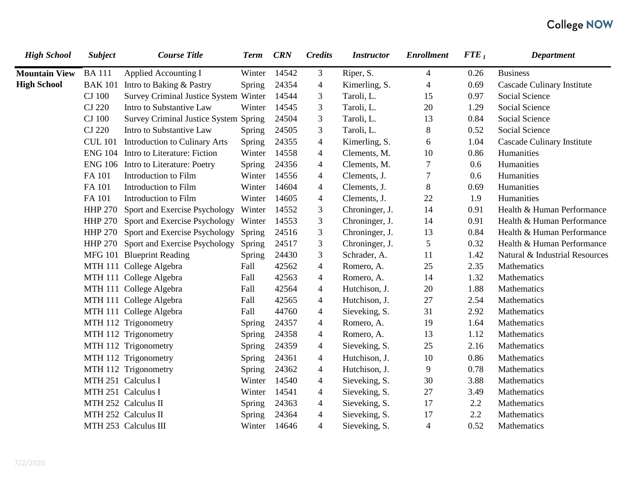| <b>High School</b>   | <b>Subject</b> | <b>Course Title</b>                   | <b>Term</b> | <b>CRN</b> | <b>Credits</b> | <b>Instructor</b> | <b>Enrollment</b> | ${FTE}_1$ | <b>Department</b>              |
|----------------------|----------------|---------------------------------------|-------------|------------|----------------|-------------------|-------------------|-----------|--------------------------------|
| <b>Mountain View</b> | <b>BA111</b>   | <b>Applied Accounting I</b>           | Winter      | 14542      | 3              | Riper, S.         | $\overline{4}$    | 0.26      | <b>Business</b>                |
| <b>High School</b>   | <b>BAK 101</b> | Intro to Baking & Pastry              | Spring      | 24354      | $\overline{4}$ | Kimerling, S.     | $\overline{4}$    | 0.69      | Cascade Culinary Institute     |
|                      | <b>CJ</b> 100  | Survey Criminal Justice System Winter |             | 14544      | 3              | Taroli, L.        | 15                | 0.97      | Social Science                 |
|                      | <b>CJ 220</b>  | Intro to Substantive Law              | Winter      | 14545      | 3              | Taroli, L.        | 20                | 1.29      | Social Science                 |
|                      | CJ 100         | Survey Criminal Justice System Spring |             | 24504      | 3              | Taroli, L.        | 13                | 0.84      | Social Science                 |
|                      | <b>CJ 220</b>  | Intro to Substantive Law              | Spring      | 24505      | 3              | Taroli, L.        | $8\phantom{1}$    | 0.52      | Social Science                 |
|                      | <b>CUL 101</b> | <b>Introduction to Culinary Arts</b>  | Spring      | 24355      | $\overline{4}$ | Kimerling, S.     | 6                 | 1.04      | Cascade Culinary Institute     |
|                      |                | ENG 104 Intro to Literature: Fiction  | Winter      | 14558      | $\overline{4}$ | Clements, M.      | 10                | 0.86      | Humanities                     |
|                      | <b>ENG 106</b> | Intro to Literature: Poetry           | Spring      | 24356      | $\overline{4}$ | Clements, M.      | $\tau$            | 0.6       | Humanities                     |
|                      | FA 101         | Introduction to Film                  | Winter      | 14556      | $\overline{4}$ | Clements, J.      | $\tau$            | 0.6       | Humanities                     |
|                      | FA 101         | Introduction to Film                  | Winter      | 14604      | $\overline{4}$ | Clements, J.      | $8\,$             | 0.69      | Humanities                     |
|                      | FA 101         | Introduction to Film                  | Winter      | 14605      | $\overline{4}$ | Clements, J.      | 22                | 1.9       | Humanities                     |
|                      | <b>HHP 270</b> | Sport and Exercise Psychology         | Winter      | 14552      | $\mathfrak{Z}$ | Chroninger, J.    | 14                | 0.91      | Health & Human Performance     |
|                      |                | HHP 270 Sport and Exercise Psychology | Winter      | 14553      | 3              | Chroninger, J.    | 14                | 0.91      | Health & Human Performance     |
|                      |                | HHP 270 Sport and Exercise Psychology | Spring      | 24516      | $\mathfrak{Z}$ | Chroninger, J.    | 13                | 0.84      | Health & Human Performance     |
|                      |                | HHP 270 Sport and Exercise Psychology | Spring      | 24517      | 3              | Chroninger, J.    | $\mathfrak{S}$    | 0.32      | Health & Human Performance     |
|                      |                | MFG 101 Blueprint Reading             | Spring      | 24430      | $\mathfrak{Z}$ | Schrader, A.      | 11                | 1.42      | Natural & Industrial Resources |
|                      |                | MTH 111 College Algebra               | Fall        | 42562      | $\overline{4}$ | Romero, A.        | 25                | 2.35      | Mathematics                    |
|                      |                | MTH 111 College Algebra               | Fall        | 42563      | $\overline{4}$ | Romero, A.        | 14                | 1.32      | Mathematics                    |
|                      |                | MTH 111 College Algebra               | Fall        | 42564      | $\overline{4}$ | Hutchison, J.     | 20                | 1.88      | Mathematics                    |
|                      |                | MTH 111 College Algebra               | Fall        | 42565      | $\overline{4}$ | Hutchison, J.     | 27                | 2.54      | Mathematics                    |
|                      |                | MTH 111 College Algebra               | Fall        | 44760      | $\overline{4}$ | Sieveking, S.     | 31                | 2.92      | Mathematics                    |
|                      |                | MTH 112 Trigonometry                  | Spring      | 24357      | $\overline{4}$ | Romero, A.        | 19                | 1.64      | Mathematics                    |
|                      |                | MTH 112 Trigonometry                  | Spring      | 24358      | $\overline{4}$ | Romero, A.        | 13                | 1.12      | Mathematics                    |
|                      |                | MTH 112 Trigonometry                  | Spring      | 24359      | $\overline{4}$ | Sieveking, S.     | $25\,$            | 2.16      | Mathematics                    |
|                      |                | MTH 112 Trigonometry                  | Spring      | 24361      | $\overline{4}$ | Hutchison, J.     | 10                | 0.86      | Mathematics                    |
|                      |                | MTH 112 Trigonometry                  | Spring      | 24362      | $\overline{4}$ | Hutchison, J.     | 9                 | 0.78      | Mathematics                    |
|                      |                | MTH 251 Calculus I                    | Winter      | 14540      | $\overline{4}$ | Sieveking, S.     | 30                | 3.88      | Mathematics                    |
|                      |                | MTH 251 Calculus I                    | Winter      | 14541      | $\overline{4}$ | Sieveking, S.     | 27                | 3.49      | Mathematics                    |
|                      |                | MTH 252 Calculus II                   | Spring      | 24363      | $\overline{4}$ | Sieveking, S.     | 17                | 2.2       | Mathematics                    |
|                      |                | MTH 252 Calculus II                   | Spring      | 24364      | $\overline{4}$ | Sieveking, S.     | 17                | 2.2       | Mathematics                    |
|                      |                | MTH 253 Calculus III                  | Winter      | 14646      | $\overline{4}$ | Sieveking, S.     | $\overline{4}$    | 0.52      | Mathematics                    |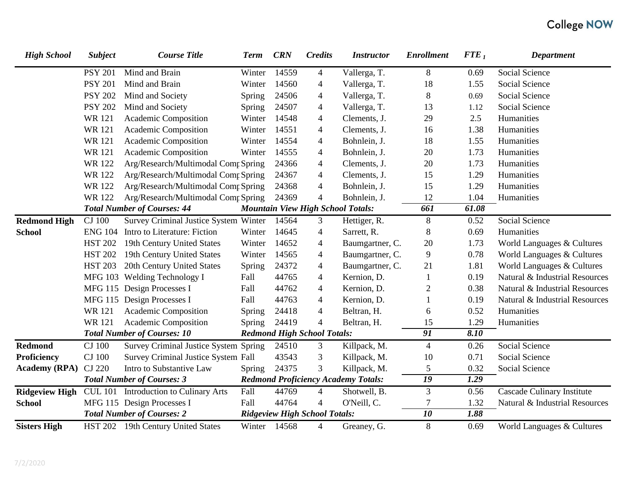| <b>High School</b>    | <b>Subject</b>                    | <b>Course Title</b>                   | <b>Term</b>  | <b>CRN</b> | <b>Credits</b>                       | <b>Instructor</b>                          | <b>Enrollment</b> | ${FTE}_1$         | <b>Department</b>                 |
|-----------------------|-----------------------------------|---------------------------------------|--------------|------------|--------------------------------------|--------------------------------------------|-------------------|-------------------|-----------------------------------|
|                       | <b>PSY 201</b>                    | Mind and Brain                        | Winter       | 14559      | $\overline{\mathcal{A}}$             | Vallerga, T.                               | $8\,$             | 0.69              | Social Science                    |
|                       | <b>PSY 201</b>                    | Mind and Brain                        | Winter       | 14560      | 4                                    | Vallerga, T.                               | 18                | 1.55              | Social Science                    |
|                       | <b>PSY 202</b>                    | Mind and Society                      | Spring       | 24506      | $\overline{\mathcal{A}}$             | Vallerga, T.                               | $\, 8$            | 0.69              | Social Science                    |
|                       | <b>PSY 202</b>                    | Mind and Society                      | Spring       | 24507      | 4                                    | Vallerga, T.                               | 13                | 1.12              | Social Science                    |
|                       | <b>WR121</b>                      | Academic Composition                  | Winter       | 14548      | $\overline{\mathcal{A}}$             | Clements, J.                               | 29                | 2.5               | Humanities                        |
|                       | <b>WR121</b>                      | Academic Composition                  | Winter       | 14551      | 4                                    | Clements, J.                               | 16                | 1.38              | Humanities                        |
|                       | <b>WR121</b>                      | Academic Composition                  | Winter       | 14554      | 4                                    | Bohnlein, J.                               | 18                | 1.55              | Humanities                        |
|                       | <b>WR121</b>                      | Academic Composition                  | Winter       | 14555      | 4                                    | Bohnlein, J.                               | 20                | 1.73              | Humanities                        |
|                       | <b>WR122</b>                      | Arg/Research/Multimodal Comp Spring   |              | 24366      | $\overline{\mathcal{A}}$             | Clements, J.                               | 20                | 1.73              | Humanities                        |
|                       | <b>WR122</b>                      | Arg/Research/Multimodal Comp Spring   |              | 24367      | $\overline{\mathcal{L}}$             | Clements, J.                               | 15                | 1.29              | Humanities                        |
|                       | <b>WR122</b>                      | Arg/Research/Multimodal Comp Spring   |              | 24368      | 4                                    | Bohnlein, J.                               | 15                | 1.29              | Humanities                        |
|                       | <b>WR122</b>                      | Arg/Research/Multimodal Comp Spring   |              | 24369      | $\overline{4}$                       | Bohnlein, J.                               | 12                | 1.04              | Humanities                        |
|                       |                                   | <b>Total Number of Courses: 44</b>    |              |            |                                      | <b>Mountain View High School Totals:</b>   | 661               | 61.08             |                                   |
| <b>Redmond High</b>   | <b>CJ</b> 100                     | Survey Criminal Justice System Winter |              | 14564      | 3                                    | Hettiger, R.                               | $\,8\,$           | 0.52              | Social Science                    |
| <b>School</b>         |                                   | ENG 104 Intro to Literature: Fiction  | Winter       | 14645      | $\overline{\mathcal{A}}$             | Sarrett, R.                                | $\,8\,$           | 0.69              | Humanities                        |
|                       |                                   | HST 202 19th Century United States    | Winter       | 14652      | $\overline{\mathcal{A}}$             | Baumgartner, C.                            | 20                | 1.73              | World Languages & Cultures        |
|                       | <b>HST 202</b>                    | 19th Century United States            | Winter       | 14565      | $\overline{\mathcal{L}}$             | Baumgartner, C.                            | 9                 | 0.78              | World Languages & Cultures        |
|                       | <b>HST 203</b>                    | 20th Century United States            | Spring       | 24372      | $\overline{\mathcal{L}}$             | Baumgartner, C.                            | 21                | 1.81              | World Languages & Cultures        |
|                       |                                   | MFG 103 Welding Technology I          | Fall         | 44765      | 4                                    | Kernion, D.                                | 1                 | 0.19              | Natural & Industrial Resources    |
|                       |                                   | MFG 115 Design Processes I            | Fall         | 44762      | 4                                    | Kernion, D.                                | $\overline{c}$    | 0.38              | Natural & Industrial Resources    |
|                       |                                   | MFG 115 Design Processes I            | Fall         | 44763      | 4                                    | Kernion, D.                                |                   | 0.19              | Natural & Industrial Resources    |
|                       | <b>WR121</b>                      | Academic Composition                  | Spring       | 24418      | $\overline{4}$                       | Beltran, H.                                | 6                 | 0.52              | Humanities                        |
|                       | <b>WR121</b>                      | Academic Composition                  | Spring       | 24419      | $\overline{4}$                       | Beltran, H.                                | 15                | 1.29              | Humanities                        |
|                       |                                   | <b>Total Number of Courses: 10</b>    |              |            | <b>Redmond High School Totals:</b>   |                                            | $\overline{91}$   | 8.10              |                                   |
| <b>Redmond</b>        | <b>CJ</b> 100                     | Survey Criminal Justice System Spring |              | 24510      | 3                                    | Killpack, M.                               | $\overline{4}$    | 0.26              | Social Science                    |
| <b>Proficiency</b>    | <b>CJ</b> 100                     | Survey Criminal Justice System Fall   |              | 43543      | 3                                    | Killpack, M.                               | 10                | 0.71              | Social Science                    |
| <b>Academy (RPA)</b>  | CJ 220                            | Intro to Substantive Law              | Spring       | 24375      | 3                                    | Killpack, M.                               | 5                 | 0.32              | Social Science                    |
|                       | <b>Total Number of Courses: 3</b> |                                       |              |            |                                      | <b>Redmond Proficiency Academy Totals:</b> | 19                | $\overline{1.29}$ |                                   |
| <b>Ridgeview High</b> |                                   | CUL 101 Introduction to Culinary Arts | Fall         | 44769      | $\overline{4}$                       | Shotwell, B.                               | 3                 | 0.56              | <b>Cascade Culinary Institute</b> |
| <b>School</b>         |                                   | MFG 115 Design Processes I            | Fall         | 44764      | $\overline{4}$                       | O'Neill, C.                                | 7                 | 1.32              | Natural & Industrial Resources    |
|                       |                                   | <b>Total Number of Courses: 2</b>     |              |            | <b>Ridgeview High School Totals:</b> |                                            | 10                | 1.88              |                                   |
| <b>Sisters High</b>   |                                   | HST 202 19th Century United States    | Winter 14568 |            | 4                                    | Greaney, G.                                | $\,8\,$           | 0.69              | World Languages & Cultures        |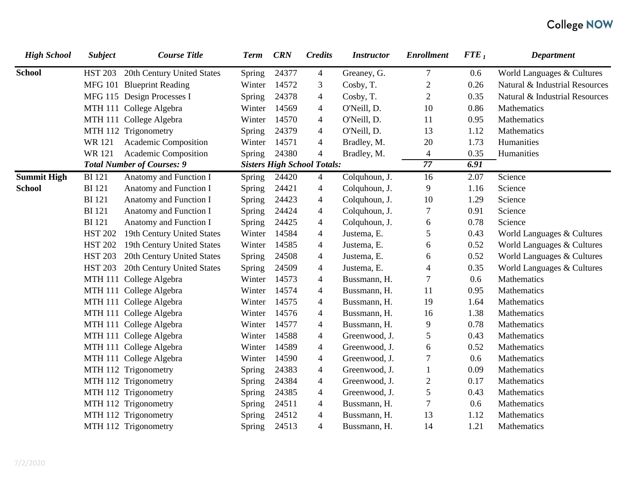| <b>High School</b> | <b>Subject</b> | <b>Course Title</b>               | <b>Term</b> | <b>CRN</b> | <b>Credits</b>                     | <b>Instructor</b> | <b>Enrollment</b>        | ${FTE}_1$ | <b>Department</b>              |
|--------------------|----------------|-----------------------------------|-------------|------------|------------------------------------|-------------------|--------------------------|-----------|--------------------------------|
| <b>School</b>      | <b>HST 203</b> | 20th Century United States        | Spring      | 24377      | $\overline{4}$                     | Greaney, G.       | $\tau$                   | 0.6       | World Languages & Cultures     |
|                    |                | MFG 101 Blueprint Reading         | Winter      | 14572      | 3                                  | Cosby, T.         | $\boldsymbol{2}$         | 0.26      | Natural & Industrial Resources |
|                    |                | MFG 115 Design Processes I        | Spring      | 24378      | 4                                  | Cosby, T.         | $\overline{2}$           | 0.35      | Natural & Industrial Resources |
|                    |                | MTH 111 College Algebra           | Winter      | 14569      | 4                                  | O'Neill, D.       | 10                       | 0.86      | Mathematics                    |
|                    |                | MTH 111 College Algebra           | Winter      | 14570      | 4                                  | O'Neill, D.       | 11                       | 0.95      | Mathematics                    |
|                    |                | MTH 112 Trigonometry              | Spring      | 24379      | 4                                  | O'Neill, D.       | 13                       | 1.12      | Mathematics                    |
|                    | <b>WR121</b>   | Academic Composition              | Winter      | 14571      | $\overline{4}$                     | Bradley, M.       | 20                       | 1.73      | Humanities                     |
|                    | <b>WR121</b>   | Academic Composition              | Spring      | 24380      | $\overline{\mathcal{L}}$           | Bradley, M.       | $\overline{\mathcal{A}}$ | 0.35      | Humanities                     |
|                    |                | <b>Total Number of Courses: 9</b> |             |            | <b>Sisters High School Totals:</b> |                   | 77                       | 6.91      |                                |
| <b>Summit High</b> | <b>BI</b> 121  | Anatomy and Function I            | Spring      | 24420      | $\overline{4}$                     | Colquhoun, J.     | 16                       | 2.07      | Science                        |
| <b>School</b>      | <b>BI</b> 121  | Anatomy and Function I            | Spring      | 24421      | $\overline{\mathcal{A}}$           | Colquhoun, J.     | 9                        | 1.16      | Science                        |
|                    | <b>BI</b> 121  | Anatomy and Function I            | Spring      | 24423      | 4                                  | Colquhoun, J.     | 10                       | 1.29      | Science                        |
|                    | <b>BI</b> 121  | Anatomy and Function I            | Spring      | 24424      | $\overline{4}$                     | Colquhoun, J.     | 7                        | 0.91      | Science                        |
|                    | <b>BI</b> 121  | Anatomy and Function I            | Spring      | 24425      | $\overline{\mathcal{A}}$           | Colquhoun, J.     | 6                        | 0.78      | Science                        |
|                    | <b>HST 202</b> | 19th Century United States        | Winter      | 14584      | $\overline{\mathcal{A}}$           | Justema, E.       | 5                        | 0.43      | World Languages & Cultures     |
|                    | <b>HST 202</b> | 19th Century United States        | Winter      | 14585      | $\overline{4}$                     | Justema, E.       | 6                        | 0.52      | World Languages & Cultures     |
|                    | <b>HST 203</b> | 20th Century United States        | Spring      | 24508      | 4                                  | Justema, E.       | 6                        | 0.52      | World Languages & Cultures     |
|                    | <b>HST 203</b> | 20th Century United States        | Spring      | 24509      | $\overline{\mathcal{A}}$           | Justema, E.       | 4                        | 0.35      | World Languages & Cultures     |
|                    |                | MTH 111 College Algebra           | Winter      | 14573      | 4                                  | Bussmann, H.      | 7                        | 0.6       | Mathematics                    |
|                    |                | MTH 111 College Algebra           | Winter      | 14574      | $\overline{4}$                     | Bussmann, H.      | 11                       | 0.95      | Mathematics                    |
|                    |                | MTH 111 College Algebra           | Winter      | 14575      | 4                                  | Bussmann, H.      | 19                       | 1.64      | Mathematics                    |
|                    |                | MTH 111 College Algebra           | Winter      | 14576      | 4                                  | Bussmann, H.      | 16                       | 1.38      | Mathematics                    |
|                    |                | MTH 111 College Algebra           | Winter      | 14577      | $\overline{\mathcal{A}}$           | Bussmann, H.      | 9                        | 0.78      | Mathematics                    |
|                    |                | MTH 111 College Algebra           | Winter      | 14588      | 4                                  | Greenwood, J.     | 5                        | 0.43      | Mathematics                    |
|                    |                | MTH 111 College Algebra           | Winter      | 14589      | $\overline{\mathcal{A}}$           | Greenwood, J.     | 6                        | 0.52      | Mathematics                    |
|                    |                | MTH 111 College Algebra           | Winter      | 14590      | 4                                  | Greenwood, J.     | 7                        | 0.6       | Mathematics                    |
|                    |                | MTH 112 Trigonometry              | Spring      | 24383      | $\overline{\mathcal{A}}$           | Greenwood, J.     |                          | 0.09      | Mathematics                    |
|                    |                | MTH 112 Trigonometry              | Spring      | 24384      | $\overline{\mathcal{A}}$           | Greenwood, J.     | $\mathbf{2}$             | 0.17      | Mathematics                    |
|                    |                | MTH 112 Trigonometry              | Spring      | 24385      | $\overline{4}$                     | Greenwood, J.     | 5                        | 0.43      | Mathematics                    |
|                    |                | MTH 112 Trigonometry              | Spring      | 24511      | 4                                  | Bussmann, H.      | 7                        | 0.6       | Mathematics                    |
|                    |                | MTH 112 Trigonometry              | Spring      | 24512      | $\overline{\mathcal{A}}$           | Bussmann, H.      | 13                       | 1.12      | Mathematics                    |
|                    |                | MTH 112 Trigonometry              | Spring      | 24513      | $\overline{4}$                     | Bussmann, H.      | 14                       | 1.21      | Mathematics                    |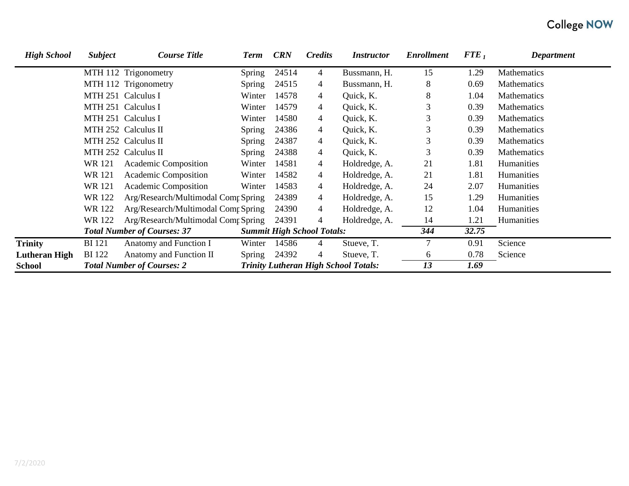| <b>High School</b>   | <b>Subject</b> | <b>Course Title</b>                 | <b>Term</b> | <b>CRN</b> | <b>Credits</b>                    | <i>Instructor</i>                           | <b>Enrollment</b> | ${FTE}_1$ | <b>Department</b>  |
|----------------------|----------------|-------------------------------------|-------------|------------|-----------------------------------|---------------------------------------------|-------------------|-----------|--------------------|
|                      |                | MTH 112 Trigonometry                | Spring      | 24514      | 4                                 | Bussmann, H.                                | 15                | 1.29      | Mathematics        |
|                      |                | MTH 112 Trigonometry                | Spring      | 24515      | 4                                 | Bussmann, H.                                | 8                 | 0.69      | Mathematics        |
|                      |                | MTH 251 Calculus I                  | Winter      | 14578      | 4                                 | Quick, K.                                   | 8                 | 1.04      | Mathematics        |
|                      |                | MTH 251 Calculus I                  | Winter      | 14579      | 4                                 | Quick, K.                                   | 3                 | 0.39      | Mathematics        |
|                      |                | MTH 251 Calculus I                  | Winter      | 14580      | 4                                 | Quick, K.                                   | 3                 | 0.39      | Mathematics        |
|                      |                | MTH 252 Calculus II                 | Spring      | 24386      | 4                                 | Quick, K.                                   | 3                 | 0.39      | <b>Mathematics</b> |
|                      |                | MTH 252 Calculus II                 | Spring      | 24387      | 4                                 | Quick, K.                                   | 3                 | 0.39      | Mathematics        |
|                      |                | MTH 252 Calculus II                 | Spring      | 24388      | 4                                 | Quick, K.                                   | 3                 | 0.39      | Mathematics        |
|                      | WR 121         | Academic Composition                | Winter      | 14581      | 4                                 | Holdredge, A.                               | 21                | 1.81      | Humanities         |
|                      | <b>WR121</b>   | <b>Academic Composition</b>         | Winter      | 14582      | 4                                 | Holdredge, A.                               | 21                | 1.81      | Humanities         |
|                      | <b>WR121</b>   | Academic Composition                | Winter      | 14583      | 4                                 | Holdredge, A.                               | 24                | 2.07      | Humanities         |
|                      | WR 122         | Arg/Research/Multimodal Comp Spring |             | 24389      | 4                                 | Holdredge, A.                               | 15                | 1.29      | Humanities         |
|                      | <b>WR122</b>   | Arg/Research/Multimodal Comr Spring |             | 24390      | 4                                 | Holdredge, A.                               | 12                | 1.04      | Humanities         |
|                      | WR 122         | Arg/Research/Multimodal Comp Spring |             | 24391      | 4                                 | Holdredge, A.                               | 14                | 1.21      | Humanities         |
|                      |                | <b>Total Number of Courses: 37</b>  |             |            | <b>Summit High School Totals:</b> |                                             | 344               | 32.75     |                    |
| <b>Trinity</b>       | <b>BI</b> 121  | Anatomy and Function I              | Winter      | 14586      | 4                                 | Stueve, T.                                  |                   | 0.91      | Science            |
| <b>Lutheran High</b> | <b>BI</b> 122  | Anatomy and Function II             | Spring      | 24392      | 4                                 | Stueve, T.                                  | 6                 | 0.78      | Science            |
| <b>School</b>        |                | <b>Total Number of Courses: 2</b>   |             |            |                                   | <b>Trinity Lutheran High School Totals:</b> | 13                | 1.69      |                    |